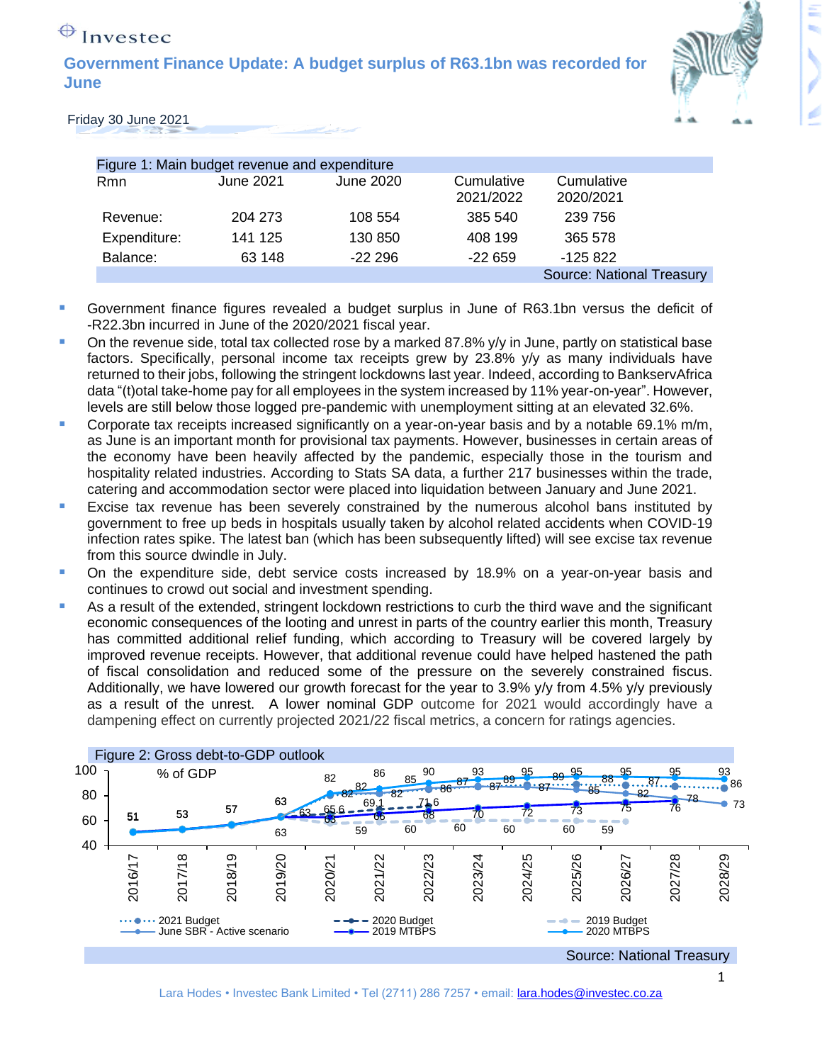# $\bigoplus$  Investec

**Government Finance Update: A budget surplus of R63.1bn was recorded for June**



Friday 30 June 2021

| Figure 1: Main budget revenue and expenditure |           |           |                         |                                  |
|-----------------------------------------------|-----------|-----------|-------------------------|----------------------------------|
| <b>Rmn</b>                                    | June 2021 | June 2020 | Cumulative<br>2021/2022 | Cumulative<br>2020/2021          |
| Revenue:                                      | 204 273   | 108 554   | 385 540                 | 239 756                          |
| Expenditure:                                  | 141 125   | 130 850   | 408 199                 | 365 578                          |
| Balance:                                      | 63 148    | $-22296$  | $-22659$                | $-125822$                        |
|                                               |           |           |                         | <b>Source: National Treasury</b> |

- Government finance figures revealed a budget surplus in June of R63.1bn versus the deficit of -R22.3bn incurred in June of the 2020/2021 fiscal year.
- On the revenue side, total tax collected rose by a marked 87.8% y/y in June, partly on statistical base factors. Specifically, personal income tax receipts grew by 23.8% y/y as many individuals have returned to their jobs, following the stringent lockdowns last year. Indeed, according to BankservAfrica data "(t)otal take-home pay for all employees in the system increased by 11% year-on-year". However, levels are still below those logged pre-pandemic with unemployment sitting at an elevated 32.6%.
- Corporate tax receipts increased significantly on a year-on-year basis and by a notable 69.1% m/m, as June is an important month for provisional tax payments. However, businesses in certain areas of the economy have been heavily affected by the pandemic, especially those in the tourism and hospitality related industries. According to Stats SA data, a further 217 businesses within the trade, catering and accommodation sector were placed into liquidation between January and June 2021.
- **Excise tax revenue has been severely constrained by the numerous alcohol bans instituted by** government to free up beds in hospitals usually taken by alcohol related accidents when COVID-19 infection rates spike. The latest ban (which has been subsequently lifted) will see excise tax revenue from this source dwindle in July.
- **•** On the expenditure side, debt service costs increased by 18.9% on a year-on-year basis and continues to crowd out social and investment spending.
- As a result of the extended, stringent lockdown restrictions to curb the third wave and the significant economic consequences of the looting and unrest in parts of the country earlier this month, Treasury has committed additional relief funding, which according to Treasury will be covered largely by improved revenue receipts. However, that additional revenue could have helped hastened the path of fiscal consolidation and reduced some of the pressure on the severely constrained fiscus. Additionally, we have lowered our growth forecast for the year to 3.9% y/y from 4.5% y/y previously as a result of the unrest. A lower nominal GDP outcome for 2021 would accordingly have a dampening effect on currently projected 2021/22 fiscal metrics, a concern for ratings agencies.

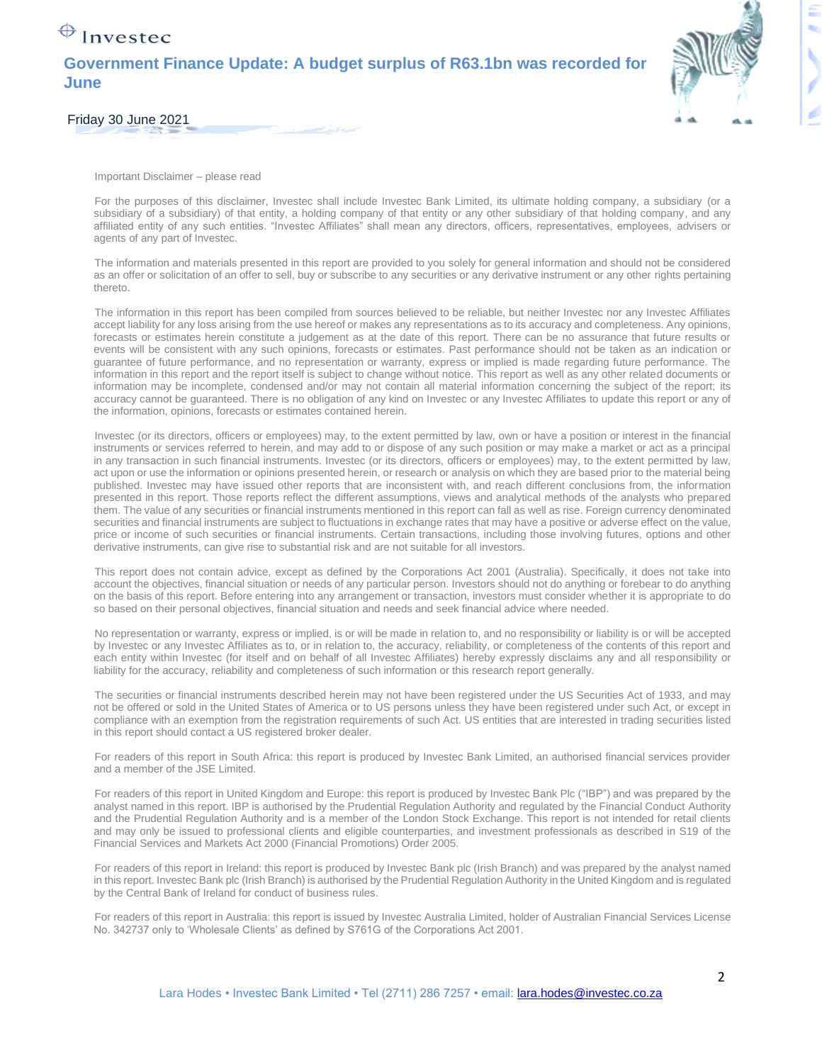### $\bigoplus$  Investec

### **Government Finance Update: A budget surplus of R63.1bn was recorded for June**



Friday 30 June 2021

Important Disclaimer – please read

For the purposes of this disclaimer, Investec shall include Investec Bank Limited, its ultimate holding company, a subsidiary (or a subsidiary of a subsidiary) of that entity, a holding company of that entity or any other subsidiary of that holding company, and any affiliated entity of any such entities. "Investec Affiliates" shall mean any directors, officers, representatives, employees, advisers or agents of any part of Investec.

The information and materials presented in this report are provided to you solely for general information and should not be considered as an offer or solicitation of an offer to sell, buy or subscribe to any securities or any derivative instrument or any other rights pertaining thereto.

The information in this report has been compiled from sources believed to be reliable, but neither Investec nor any Investec Affiliates accept liability for any loss arising from the use hereof or makes any representations as to its accuracy and completeness. Any opinions, forecasts or estimates herein constitute a judgement as at the date of this report. There can be no assurance that future results or events will be consistent with any such opinions, forecasts or estimates. Past performance should not be taken as an indication or guarantee of future performance, and no representation or warranty, express or implied is made regarding future performance. The information in this report and the report itself is subject to change without notice. This report as well as any other related documents or information may be incomplete, condensed and/or may not contain all material information concerning the subject of the report; its accuracy cannot be guaranteed. There is no obligation of any kind on Investec or any Investec Affiliates to update this report or any of the information, opinions, forecasts or estimates contained herein.

Investec (or its directors, officers or employees) may, to the extent permitted by law, own or have a position or interest in the financial instruments or services referred to herein, and may add to or dispose of any such position or may make a market or act as a principal in any transaction in such financial instruments. Investec (or its directors, officers or employees) may, to the extent permitted by law, act upon or use the information or opinions presented herein, or research or analysis on which they are based prior to the material being published. Investec may have issued other reports that are inconsistent with, and reach different conclusions from, the information presented in this report. Those reports reflect the different assumptions, views and analytical methods of the analysts who prepared them. The value of any securities or financial instruments mentioned in this report can fall as well as rise. Foreign currency denominated securities and financial instruments are subject to fluctuations in exchange rates that may have a positive or adverse effect on the value, price or income of such securities or financial instruments. Certain transactions, including those involving futures, options and other derivative instruments, can give rise to substantial risk and are not suitable for all investors.

This report does not contain advice, except as defined by the Corporations Act 2001 (Australia). Specifically, it does not take into account the objectives, financial situation or needs of any particular person. Investors should not do anything or forebear to do anything on the basis of this report. Before entering into any arrangement or transaction, investors must consider whether it is appropriate to do so based on their personal objectives, financial situation and needs and seek financial advice where needed.

No representation or warranty, express or implied, is or will be made in relation to, and no responsibility or liability is or will be accepted by Investec or any Investec Affiliates as to, or in relation to, the accuracy, reliability, or completeness of the contents of this report and each entity within Investec (for itself and on behalf of all Investec Affiliates) hereby expressly disclaims any and all responsibility or liability for the accuracy, reliability and completeness of such information or this research report generally.

The securities or financial instruments described herein may not have been registered under the US Securities Act of 1933, and may not be offered or sold in the United States of America or to US persons unless they have been registered under such Act, or except in compliance with an exemption from the registration requirements of such Act. US entities that are interested in trading securities listed in this report should contact a US registered broker dealer.

For readers of this report in South Africa: this report is produced by Investec Bank Limited, an authorised financial services provider and a member of the JSE Limited.

For readers of this report in United Kingdom and Europe: this report is produced by Investec Bank Plc ("IBP") and was prepared by the analyst named in this report. IBP is authorised by the Prudential Regulation Authority and regulated by the Financial Conduct Authority and the Prudential Regulation Authority and is a member of the London Stock Exchange. This report is not intended for retail clients and may only be issued to professional clients and eligible counterparties, and investment professionals as described in S19 of the Financial Services and Markets Act 2000 (Financial Promotions) Order 2005.

For readers of this report in Ireland: this report is produced by Investec Bank plc (Irish Branch) and was prepared by the analyst named in this report. Investec Bank plc (Irish Branch) is authorised by the Prudential Regulation Authority in the United Kingdom and is regulated by the Central Bank of Ireland for conduct of business rules.

For readers of this report in Australia: this report is issued by Investec Australia Limited, holder of Australian Financial Services License No. 342737 only to 'Wholesale Clients' as defined by S761G of the Corporations Act 2001.